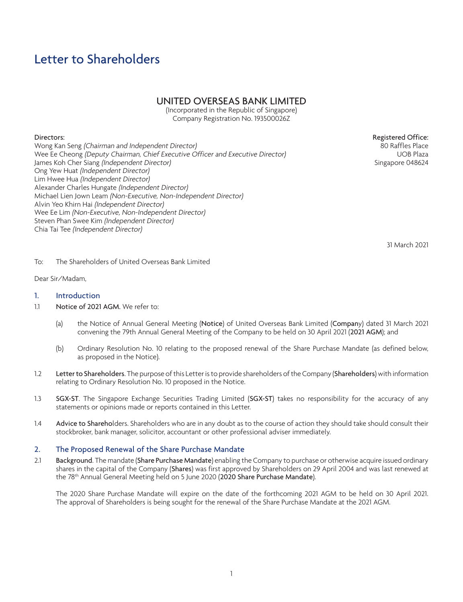# Letter to Shareholders

# UNITED OVERSEAS BANK LIMITED

(Incorporated in the Republic of Singapore) Company Registration No. 193500026Z

# Directors:

Wong Kan Seng (Chairman and Independent Director) Wee Ee Cheong (Deputy Chairman, Chief Executive Officer and Executive Director) James Koh Cher Siang (Independent Director) Ong Yew Huat (Independent Director) Lim Hwee Hua (Independent Director) Alexander Charles Hungate (Independent Director) Michael Lien Jown Leam (Non-Executive, Non-Independent Director) Alvin Yeo Khirn Hai (Independent Director) Wee Ee Lim (Non-Executive, Non-Independent Director) Steven Phan Swee Kim (Independent Director) Chia Tai Tee (Independent Director)

Registered Office: 80 Raffles Place UOB Plaza Singapore 048624

31 March 2021

To: The Shareholders of United Overseas Bank Limited

Dear Sir/Madam,

# 1. Introduction

- 1.1 Notice of 2021 AGM. We refer to:
	- (a) the Notice of Annual General Meeting (Notice) of United Overseas Bank Limited (Company) dated 31 March 2021 convening the 79th Annual General Meeting of the Company to be held on 30 April 2021 (2021 AGM); and
	- (b) Ordinary Resolution No. 10 relating to the proposed renewal of the Share Purchase Mandate (as defined below, as proposed in the Notice).
- 1.2 Letter to Shareholders. The purpose of this Letter is to provide shareholders of the Company (Shareholders) with information relating to Ordinary Resolution No. 10 proposed in the Notice.
- 1.3 SGX-ST. The Singapore Exchange Securities Trading Limited (SGX-ST) takes no responsibility for the accuracy of any statements or opinions made or reports contained in this Letter.
- 1.4 Advice to Shareholders. Shareholders who are in any doubt as to the course of action they should take should consult their stockbroker, bank manager, solicitor, accountant or other professional adviser immediately.

#### 2. The Proposed Renewal of the Share Purchase Mandate

2.1 Background. The mandate (Share Purchase Mandate) enabling the Company to purchase or otherwise acquire issued ordinary shares in the capital of the Company (Shares) was first approved by Shareholders on 29 April 2004 and was last renewed at the 78<sup>th</sup> Annual General Meeting held on 5 June 2020 (2020 Share Purchase Mandate).

The 2020 Share Purchase Mandate will expire on the date of the forthcoming 2021 AGM to be held on 30 April 2021. The approval of Shareholders is being sought for the renewal of the Share Purchase Mandate at the 2021 AGM.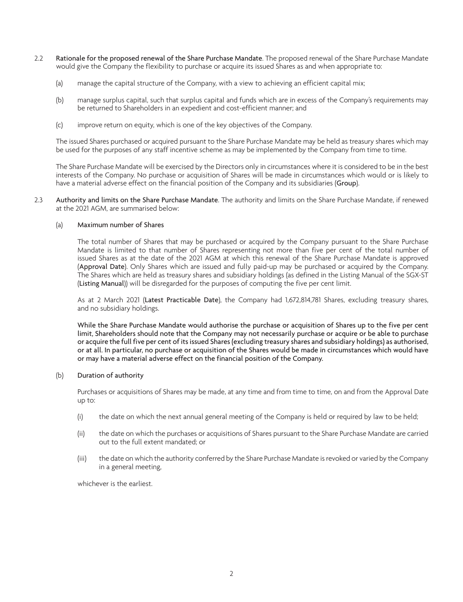- 2.2 Rationale for the proposed renewal of the Share Purchase Mandate. The proposed renewal of the Share Purchase Mandate would give the Company the flexibility to purchase or acquire its issued Shares as and when appropriate to:
	- (a) manage the capital structure of the Company, with a view to achieving an efficient capital mix;
	- (b) manage surplus capital, such that surplus capital and funds which are in excess of the Company's requirements may be returned to Shareholders in an expedient and cost-efficient manner; and
	- (c) improve return on equity, which is one of the key objectives of the Company.

The issued Shares purchased or acquired pursuant to the Share Purchase Mandate may be held as treasury shares which may be used for the purposes of any staff incentive scheme as may be implemented by the Company from time to time.

The Share Purchase Mandate will be exercised by the Directors only in circumstances where it is considered to be in the best interests of the Company. No purchase or acquisition of Shares will be made in circumstances which would or is likely to have a material adverse effect on the financial position of the Company and its subsidiaries (Group).

2.3 Authority and limits on the Share Purchase Mandate. The authority and limits on the Share Purchase Mandate, if renewed at the 2021 AGM, are summarised below:

# (a) Maximum number of Shares

The total number of Shares that may be purchased or acquired by the Company pursuant to the Share Purchase Mandate is limited to that number of Shares representing not more than five per cent of the total number of issued Shares as at the date of the 2021 AGM at which this renewal of the Share Purchase Mandate is approved (Approval Date). Only Shares which are issued and fully paid-up may be purchased or acquired by the Company. The Shares which are held as treasury shares and subsidiary holdings (as defined in the Listing Manual of the SGX-ST (Listing Manual)) will be disregarded for the purposes of computing the five per cent limit.

As at 2 March 2021 (Latest Practicable Date), the Company had 1,672,814,781 Shares, excluding treasury shares, and no subsidiary holdings.

While the Share Purchase Mandate would authorise the purchase or acquisition of Shares up to the five per cent limit, Shareholders should note that the Company may not necessarily purchase or acquire or be able to purchase or acquire the full five per cent of its issued Shares (excluding treasury shares and subsidiary holdings) as authorised, or at all. In particular, no purchase or acquisition of the Shares would be made in circumstances which would have or may have a material adverse effect on the financial position of the Company.

# (b) Duration of authority

Purchases or acquisitions of Shares may be made, at any time and from time to time, on and from the Approval Date up to:

- (i) the date on which the next annual general meeting of the Company is held or required by law to be held;
- (ii) the date on which the purchases or acquisitions of Shares pursuant to the Share Purchase Mandate are carried out to the full extent mandated; or
- (iii) the date on which the authority conferred by the Share Purchase Mandate is revoked or varied by the Company in a general meeting,

whichever is the earliest.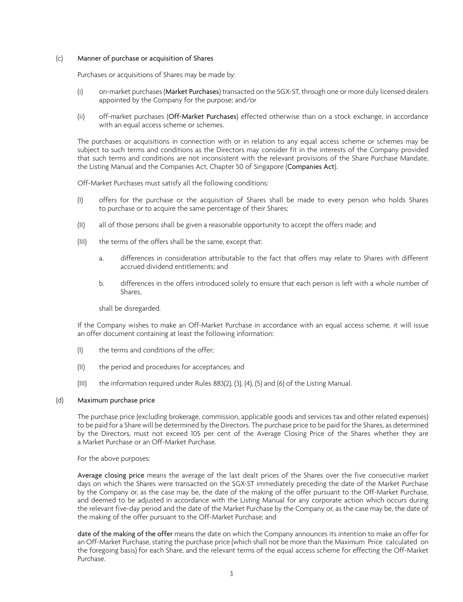## (c) Manner of purchase or acquisition of Shares

Purchases or acquisitions of Shares may be made by:

- (i) on-market purchases (Market Purchases) transacted on the SGX-ST, through one or more duly licensed dealers appointed by the Company for the purpose; and/or
- (ii) off-market purchases (Off-Market Purchases) effected otherwise than on a stock exchange, in accordance with an equal access scheme or schemes.

The purchases or acquisitions in connection with or in relation to any equal access scheme or schemes may be subject to such terms and conditions as the Directors may consider fit in the interests of the Company provided that such terms and conditions are not inconsistent with the relevant provisions of the Share Purchase Mandate, the Listing Manual and the Companies Act, Chapter 50 of Singapore (Companies Act).

Off-Market Purchases must satisfy all the following conditions:

- (I) offers for the purchase or the acquisition of Shares shall be made to every person who holds Shares to purchase or to acquire the same percentage of their Shares;
- (II) all of those persons shall be given a reasonable opportunity to accept the offers made; and
- (III) the terms of the offers shall be the same, except that:
	- a. differences in consideration attributable to the fact that offers may relate to Shares with different accrued dividend entitlements; and
	- b. differences in the offers introduced solely to ensure that each person is left with a whole number of Shares,

shall be disregarded.

If the Company wishes to make an Off-Market Purchase in accordance with an equal access scheme, it will issue an offer document containing at least the following information:

- (I) the terms and conditions of the offer;
- (II) the period and procedures for acceptances; and
- (III) the information required under Rules 883(2), (3), (4), (5) and (6) of the Listing Manual.

#### (d) Maximum purchase price

The purchase price (excluding brokerage, commission, applicable goods and services tax and other related expenses) to be paid for a Share will be determined by the Directors. The purchase price to be paid for the Shares, as determined by the Directors, must not exceed 105 per cent of the Average Closing Price of the Shares whether they are a Market Purchase or an Off-Market Purchase.

For the above purposes:

Average closing price means the average of the last dealt prices of the Shares over the five consecutive market days on which the Shares were transacted on the SGX-ST immediately preceding the date of the Market Purchase by the Company or, as the case may be, the date of the making of the offer pursuant to the Off-Market Purchase, and deemed to be adjusted in accordance with the Listing Manual for any corporate action which occurs during the relevant five-day period and the date of the Market Purchase by the Company or, as the case may be, the date of the making of the offer pursuant to the Off-Market Purchase; and

date of the making of the offer means the date on which the Company announces its intention to make an offer for an Off-Market Purchase, stating the purchase price (which shall not be more than the Maximum Price calculated on the foregoing basis) for each Share, and the relevant terms of the equal access scheme for effecting the Off-Market Purchase.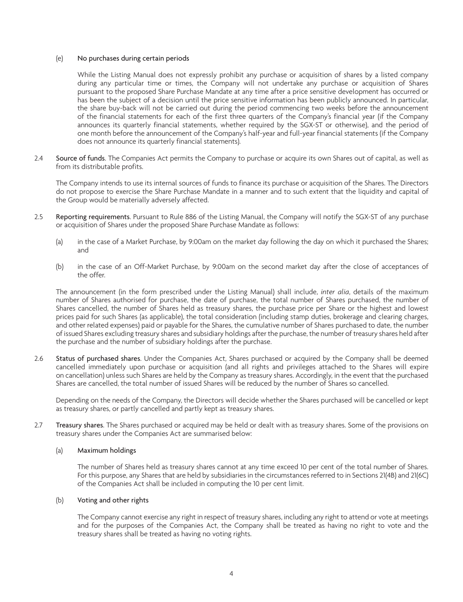#### (e) No purchases during certain periods

While the Listing Manual does not expressly prohibit any purchase or acquisition of shares by a listed company during any particular time or times, the Company will not undertake any purchase or acquisition of Shares pursuant to the proposed Share Purchase Mandate at any time after a price sensitive development has occurred or has been the subject of a decision until the price sensitive information has been publicly announced. In particular, the share buy-back will not be carried out during the period commencing two weeks before the announcement of the financial statements for each of the first three quarters of the Company's financial year (if the Company announces its quarterly financial statements, whether required by the SGX-ST or otherwise), and the period of one month before the announcement of the Company's half-year and full-year financial statements (if the Company does not announce its quarterly financial statements).

2.4 Source of funds. The Companies Act permits the Company to purchase or acquire its own Shares out of capital, as well as from its distributable profits.

The Company intends to use its internal sources of funds to finance its purchase or acquisition of the Shares. The Directors do not propose to exercise the Share Purchase Mandate in a manner and to such extent that the liquidity and capital of the Group would be materially adversely affected.

- 2.5 Reporting requirements. Pursuant to Rule 886 of the Listing Manual, the Company will notify the SGX-ST of any purchase or acquisition of Shares under the proposed Share Purchase Mandate as follows:
	- (a) in the case of a Market Purchase, by 9:00am on the market day following the day on which it purchased the Shares; and
	- (b) in the case of an Off-Market Purchase, by 9:00am on the second market day after the close of acceptances of the offer.

The announcement (in the form prescribed under the Listing Manual) shall include, *inter alia*, details of the maximum number of Shares authorised for purchase, the date of purchase, the total number of Shares purchased, the number of Shares cancelled, the number of Shares held as treasury shares, the purchase price per Share or the highest and lowest prices paid for such Shares (as applicable), the total consideration (including stamp duties, brokerage and clearing charges, and other related expenses) paid or payable for the Shares, the cumulative number of Shares purchased to date, the number of issued Shares excluding treasury shares and subsidiary holdings after the purchase, the number of treasury shares held after the purchase and the number of subsidiary holdings after the purchase.

2.6 Status of purchased shares. Under the Companies Act, Shares purchased or acquired by the Company shall be deemed cancelled immediately upon purchase or acquisition (and all rights and privileges attached to the Shares will expire on cancellation) unless such Shares are held by the Company as treasury shares. Accordingly, in the event that the purchased Shares are cancelled, the total number of issued Shares will be reduced by the number of Shares so cancelled.

Depending on the needs of the Company, the Directors will decide whether the Shares purchased will be cancelled or kept as treasury shares, or partly cancelled and partly kept as treasury shares.

2.7 Treasury shares. The Shares purchased or acquired may be held or dealt with as treasury shares. Some of the provisions on treasury shares under the Companies Act are summarised below:

#### (a) Maximum holdings

The number of Shares held as treasury shares cannot at any time exceed 10 per cent of the total number of Shares. For this purpose, any Shares that are held by subsidiaries in the circumstances referred to in Sections 21(4B) and 21(6C) of the Companies Act shall be included in computing the 10 per cent limit.

# (b) Voting and other rights

The Company cannot exercise any right in respect of treasury shares, including any right to attend or vote at meetings and for the purposes of the Companies Act, the Company shall be treated as having no right to vote and the treasury shares shall be treated as having no voting rights.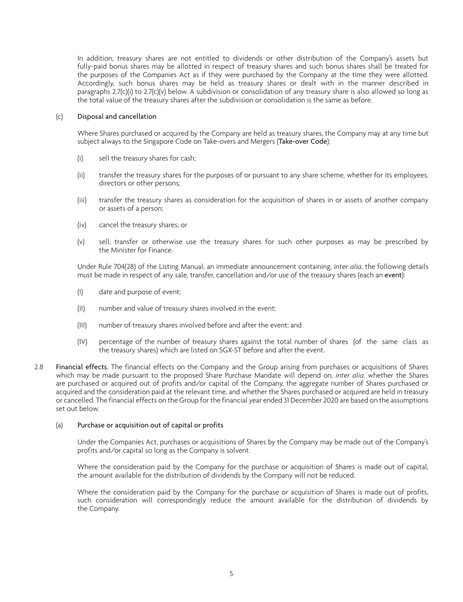In addition, treasury shares are not entitled to dividends or other distribution of the Company's assets but fully-paid bonus shares may be allotted in respect of treasury shares and such bonus shares shall be treated for the purposes of the Companies Act as if they were purchased by the Company at the time they were allotted. Accordingly, such bonus shares may be held as treasury shares or dealt with in the manner described in paragraphs 2.7(c)(i) to 2.7(c)(v) below. A subdivision or consolidation of any treasury share is also allowed so long as the total value of the treasury shares after the subdivision or consolidation is the same as before.

# (c) Disposal and cancellation

Where Shares purchased or acquired by the Company are held as treasury shares, the Company may at any time but subject always to the Singapore Code on Take-overs and Mergers (Take-over Code):

- (i) sell the treasury shares for cash;
- (ii) transfer the treasury shares for the purposes of or pursuant to any share scheme, whether for its employees, directors or other persons;
- (iii) transfer the treasury shares as consideration for the acquisition of shares in or assets of another company or assets of a person;
- (iv) cancel the treasury shares; or
- (v) sell, transfer or otherwise use the treasury shares for such other purposes as may be prescribed by the Minister for Finance.

Under Rule 704(28) of the Listing Manual, an immediate announcement containing, *inter alia*, the following details must be made in respect of any sale, transfer, cancellation and/or use of the treasury shares (each an event):

- (I) date and purpose of event;
- (II) number and value of treasury shares involved in the event;
- (III) number of treasury shares involved before and after the event; and
- (IV) percentage of the number of treasury shares against the total number of shares (of the same class as the treasury shares) which are listed on SGX-ST before and after the event.
- 2.8 Financial effects. The financial effects on the Company and the Group arising from purchases or acquisitions of Shares which may be made pursuant to the proposed Share Purchase Mandate will depend on, *inter alia*, whether the Shares are purchased or acquired out of profits and/or capital of the Company, the aggregate number of Shares purchased or acquired and the consideration paid at the relevant time, and whether the Shares purchased or acquired are held in treasury or cancelled. The financial effects on the Group for the financial year ended 31 December 2020 are based on the assumptions set out below.

#### (a) Purchase or acquisition out of capital or profits

Under the Companies Act, purchases or acquisitions of Shares by the Company may be made out of the Company's profits and/or capital so long as the Company is solvent.

Where the consideration paid by the Company for the purchase or acquisition of Shares is made out of capital, the amount available for the distribution of dividends by the Company will not be reduced.

Where the consideration paid by the Company for the purchase or acquisition of Shares is made out of profits, such consideration will correspondingly reduce the amount available for the distribution of dividends by the Company.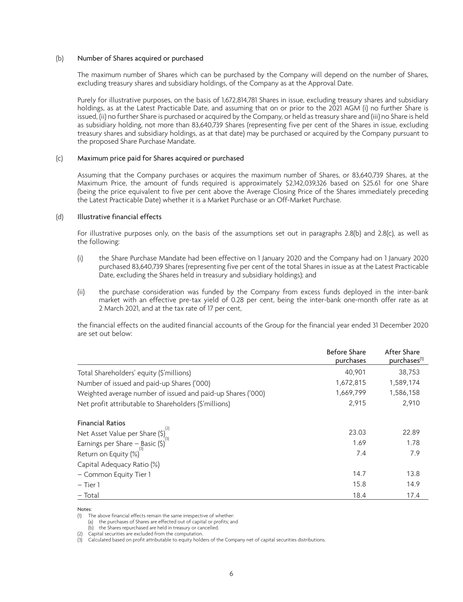#### (b) Number of Shares acquired or purchased

The maximum number of Shares which can be purchased by the Company will depend on the number of Shares, excluding treasury shares and subsidiary holdings, of the Company as at the Approval Date.

Purely for illustrative purposes, on the basis of 1,672,814,781 Shares in issue, excluding treasury shares and subsidiary holdings, as at the Latest Practicable Date, and assuming that on or prior to the 2021 AGM (i) no further Share is issued, (ii) no further Share is purchased or acquired by the Company, or held as treasury share and (iii) no Share is held as subsidiary holding, not more than 83,640,739 Shares (representing five per cent of the Shares in issue, excluding treasury shares and subsidiary holdings, as at that date) may be purchased or acquired by the Company pursuant to the proposed Share Purchase Mandate.

#### (c) Maximum price paid for Shares acquired or purchased

Assuming that the Company purchases or acquires the maximum number of Shares, or 83,640,739 Shares, at the Maximum Price, the amount of funds required is approximately \$2,142,039,326 based on \$25.61 for one Share (being the price equivalent to five per cent above the Average Closing Price of the Shares immediately preceding the Latest Practicable Date) whether it is a Market Purchase or an Off-Market Purchase.

## (d) Illustrative financial effects

For illustrative purposes only, on the basis of the assumptions set out in paragraphs 2.8(b) and 2.8(c), as well as the following:

- (i) the Share Purchase Mandate had been effective on 1 January 2020 and the Company had on 1 January 2020 purchased 83,640,739 Shares (representing five per cent of the total Shares in issue as at the Latest Practicable Date, excluding the Shares held in treasury and subsidiary holdings); and
- (ii) the purchase consideration was funded by the Company from excess funds deployed in the inter-bank market with an effective pre-tax yield of 0.28 per cent, being the inter-bank one-month offer rate as at 2 March 2021, and at the tax rate of 17 per cent,

the financial effects on the audited financial accounts of the Group for the financial year ended 31 December 2020 are set out below:

|                                                                            | <b>Before Share</b><br>purchases | After Share<br>purchases <sup>(1)</sup> |
|----------------------------------------------------------------------------|----------------------------------|-----------------------------------------|
| Total Shareholders' equity (\$'millions)                                   | 40,901                           | 38,753                                  |
| Number of issued and paid-up Shares ('000)                                 | 1,672,815                        | 1,589,174                               |
| Weighted average number of issued and paid-up Shares ('000)                | 1,669,799                        | 1,586,158                               |
| Net profit attributable to Shareholders (\$'millions)                      | 2,915                            | 2.910                                   |
| <b>Financial Ratios</b>                                                    |                                  |                                         |
| Net Asset Value per Share $(\xi)_{\infty}^{(2)}$                           | 23.03                            | 22.89                                   |
|                                                                            | 1.69                             | 1.78                                    |
| Earnings per Share – Basic $(\hat{S})^T$<br>Return on Equity $(\hat{C})^T$ | 7.4                              | 7.9                                     |
| Capital Adequacy Ratio (%)                                                 |                                  |                                         |
| - Common Equity Tier 1                                                     | 14.7                             | 13.8                                    |
| $-$ Tier 1                                                                 | 15.8                             | 14.9                                    |
| - Total                                                                    | 18.4                             | 17.4                                    |

Notes:

<sup>(1)</sup> The above financial effects remain the same irrespective of whether:

<sup>(</sup>a) the purchases of Shares are effected out of capital or profits; and

<sup>(</sup>b) the Shares repurchased are held in treasury or cancelled.

<sup>(2)</sup> Capital securities are excluded from the computation.

<sup>(3)</sup> Calculated based on profit attributable to equity holders of the Company net of capital securities distributions.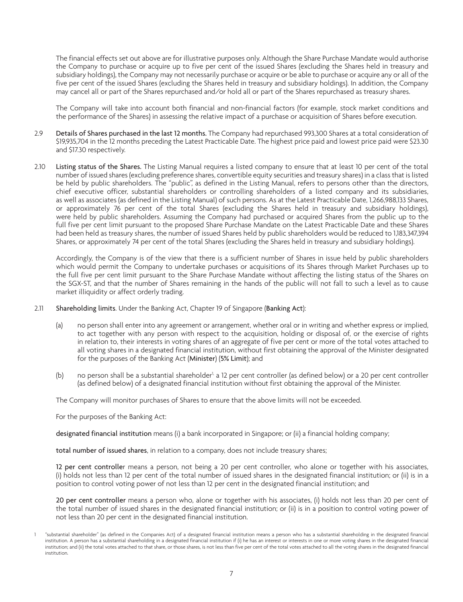The financial effects set out above are for illustrative purposes only. Although the Share Purchase Mandate would authorise the Company to purchase or acquire up to five per cent of the issued Shares (excluding the Shares held in treasury and subsidiary holdings), the Company may not necessarily purchase or acquire or be able to purchase or acquire any or all of the five per cent of the issued Shares (excluding the Shares held in treasury and subsidiary holdings). In addition, the Company may cancel all or part of the Shares repurchased and/or hold all or part of the Shares repurchased as treasury shares.

The Company will take into account both financial and non-financial factors (for example, stock market conditions and the performance of the Shares) in assessing the relative impact of a purchase or acquisition of Shares before execution.

- 2.9 Details of Shares purchased in the last 12 months. The Company had repurchased 993,300 Shares at a total consideration of \$19,935,704 in the 12 months preceding the Latest Practicable Date. The highest price paid and lowest price paid were \$23.30 and \$17.30 respectively.
- 2.10 Listing status of the Shares. The Listing Manual requires a listed company to ensure that at least 10 per cent of the total number of issued shares (excluding preference shares, convertible equity securities and treasury shares) in a class that is listed be held by public shareholders. The "public", as defined in the Listing Manual, refers to persons other than the directors, chief executive officer, substantial shareholders or controlling shareholders of a listed company and its subsidiaries, as well as associates (as defined in the Listing Manual) of such persons. As at the Latest Practicable Date, 1,266,988,133 Shares, or approximately 76 per cent of the total Shares (excluding the Shares held in treasury and subsidiary holdings), were held by public shareholders. Assuming the Company had purchased or acquired Shares from the public up to the full five per cent limit pursuant to the proposed Share Purchase Mandate on the Latest Practicable Date and these Shares had been held as treasury shares, the number of issued Shares held by public shareholders would be reduced to 1,183,347,394 Shares, or approximately 74 per cent of the total Shares (excluding the Shares held in treasury and subsidiary holdings).

Accordingly, the Company is of the view that there is a sufficient number of Shares in issue held by public shareholders which would permit the Company to undertake purchases or acquisitions of its Shares through Market Purchases up to the full five per cent limit pursuant to the Share Purchase Mandate without affecting the listing status of the Shares on the SGX-ST, and that the number of Shares remaining in the hands of the public will not fall to such a level as to cause market illiquidity or affect orderly trading.

- 2.11 Shareholding limits. Under the Banking Act, Chapter 19 of Singapore (Banking Act):
	- (a) no person shall enter into any agreement or arrangement, whether oral or in writing and whether express or implied, to act together with any person with respect to the acquisition, holding or disposal of, or the exercise of rights in relation to, their interests in voting shares of an aggregate of five per cent or more of the total votes attached to all voting shares in a designated financial institution, without first obtaining the approval of the Minister designated for the purposes of the Banking Act (Minister) (5% Limit); and
	- (b) no person shall be a substantial shareholder<sup>1</sup>, a 12 per cent controller (as defined below) or a 20 per cent controller (as defined below) of a designated financial institution without first obtaining the approval of the Minister.

The Company will monitor purchases of Shares to ensure that the above limits will not be exceeded.

For the purposes of the Banking Act:

designated financial institution means (i) a bank incorporated in Singapore; or (ii) a financial holding company;

total number of issued shares, in relation to a company, does not include treasury shares;

12 per cent controller means a person, not being a 20 per cent controller, who alone or together with his associates, (i) holds not less than 12 per cent of the total number of issued shares in the designated financial institution; or (ii) is in a position to control voting power of not less than 12 per cent in the designated financial institution; and

20 per cent controller means a person who, alone or together with his associates, (i) holds not less than 20 per cent of the total number of issued shares in the designated financial institution; or (ii) is in a position to control voting power of not less than 20 per cent in the designated financial institution.

<sup>1</sup> "substantial shareholder" (as defined in the Companies Act) of a designated financial institution means a person who has a substantial shareholding in the designated financial institution. A person has a substantial shareholding in a designated financial institution if (i) he has an interest or interests in one or more voting shares in the designated financial institution; and (ii) the total votes attached to that share, or those shares, is not less than five per cent of the total votes attached to all the voting shares in the designated financial institution.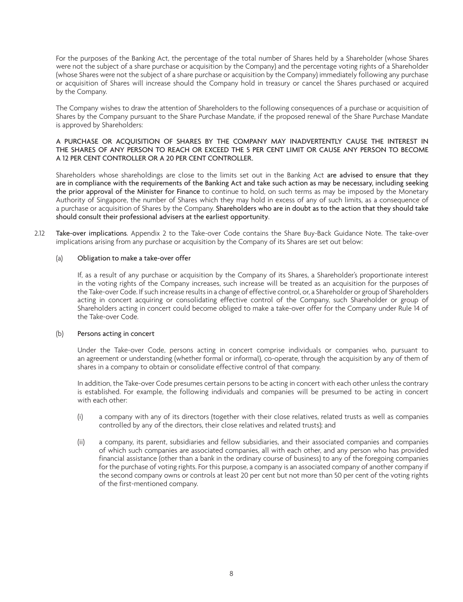For the purposes of the Banking Act, the percentage of the total number of Shares held by a Shareholder (whose Shares were not the subject of a share purchase or acquisition by the Company) and the percentage voting rights of a Shareholder (whose Shares were not the subject of a share purchase or acquisition by the Company) immediately following any purchase or acquisition of Shares will increase should the Company hold in treasury or cancel the Shares purchased or acquired by the Company.

The Company wishes to draw the attention of Shareholders to the following consequences of a purchase or acquisition of Shares by the Company pursuant to the Share Purchase Mandate, if the proposed renewal of the Share Purchase Mandate is approved by Shareholders:

# A PURCHASE OR ACQUISITION OF SHARES BY THE COMPANY MAY INADVERTENTLY CAUSE THE INTEREST IN THE SHARES OF ANY PERSON TO REACH OR EXCEED THE 5 PER CENT LIMIT OR CAUSE ANY PERSON TO BECOME A 12 PER CENT CONTROLLER OR A 20 PER CENT CONTROLLER.

Shareholders whose shareholdings are close to the limits set out in the Banking Act are advised to ensure that they are in compliance with the requirements of the Banking Act and take such action as may be necessary, including seeking the prior approval of the Minister for Finance to continue to hold, on such terms as may be imposed by the Monetary Authority of Singapore, the number of Shares which they may hold in excess of any of such limits, as a consequence of a purchase or acquisition of Shares by the Company. Shareholders who are in doubt as to the action that they should take should consult their professional advisers at the earliest opportunity.

2.12 Take-over implications. Appendix 2 to the Take-over Code contains the Share Buy-Back Guidance Note. The take-over implications arising from any purchase or acquisition by the Company of its Shares are set out below:

# (a) Obligation to make a take-over offer

If, as a result of any purchase or acquisition by the Company of its Shares, a Shareholder's proportionate interest in the voting rights of the Company increases, such increase will be treated as an acquisition for the purposes of the Take-over Code. If such increase results in a change of effective control, or, a Shareholder or group of Shareholders acting in concert acquiring or consolidating effective control of the Company, such Shareholder or group of Shareholders acting in concert could become obliged to make a take-over offer for the Company under Rule 14 of the Take-over Code.

#### (b) Persons acting in concert

Under the Take-over Code, persons acting in concert comprise individuals or companies who, pursuant to an agreement or understanding (whether formal or informal), co-operate, through the acquisition by any of them of shares in a company to obtain or consolidate effective control of that company.

In addition, the Take-over Code presumes certain persons to be acting in concert with each other unless the contrary is established. For example, the following individuals and companies will be presumed to be acting in concert with each other:

- (i) a company with any of its directors (together with their close relatives, related trusts as well as companies controlled by any of the directors, their close relatives and related trusts); and
- (ii) a company, its parent, subsidiaries and fellow subsidiaries, and their associated companies and companies of which such companies are associated companies, all with each other, and any person who has provided financial assistance (other than a bank in the ordinary course of business) to any of the foregoing companies for the purchase of voting rights. For this purpose, a company is an associated company of another company if the second company owns or controls at least 20 per cent but not more than 50 per cent of the voting rights of the first-mentioned company.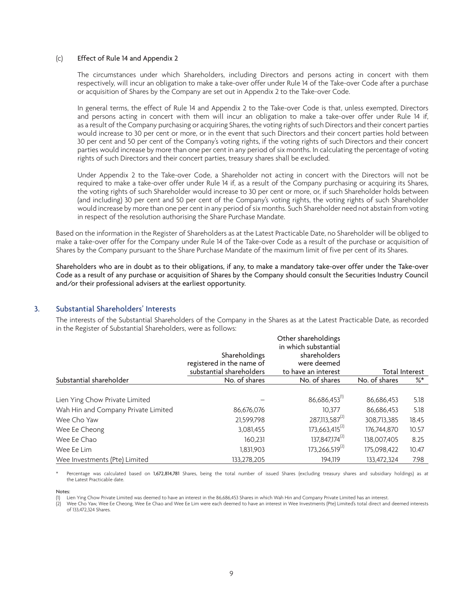#### (c) Effect of Rule 14 and Appendix 2

The circumstances under which Shareholders, including Directors and persons acting in concert with them respectively, will incur an obligation to make a take-over offer under Rule 14 of the Take-over Code after a purchase or acquisition of Shares by the Company are set out in Appendix 2 to the Take-over Code.

In general terms, the effect of Rule 14 and Appendix 2 to the Take-over Code is that, unless exempted, Directors and persons acting in concert with them will incur an obligation to make a take-over offer under Rule 14 if, as a result of the Company purchasing or acquiring Shares, the voting rights of such Directors and their concert parties would increase to 30 per cent or more, or in the event that such Directors and their concert parties hold between 30 per cent and 50 per cent of the Company's voting rights, if the voting rights of such Directors and their concert parties would increase by more than one per cent in any period of six months. In calculating the percentage of voting rights of such Directors and their concert parties, treasury shares shall be excluded.

Under Appendix 2 to the Take-over Code, a Shareholder not acting in concert with the Directors will not be required to make a take-over offer under Rule 14 if, as a result of the Company purchasing or acquiring its Shares, the voting rights of such Shareholder would increase to 30 per cent or more, or, if such Shareholder holds between (and including) 30 per cent and 50 per cent of the Company's voting rights, the voting rights of such Shareholder would increase by more than one per cent in any period of six months. Such Shareholder need not abstain from voting in respect of the resolution authorising the Share Purchase Mandate.

Based on the information in the Register of Shareholders as at the Latest Practicable Date, no Shareholder will be obliged to make a take-over offer for the Company under Rule 14 of the Take-over Code as a result of the purchase or acquisition of Shares by the Company pursuant to the Share Purchase Mandate of the maximum limit of five per cent of its Shares.

Shareholders who are in doubt as to their obligations, if any, to make a mandatory take-over offer under the Take-over Code as a result of any purchase or acquisition of Shares by the Company should consult the Securities Industry Council and/or their professional advisers at the earliest opportunity.

# 3. Substantial Shareholders' Interests

The interests of the Substantial Shareholders of the Company in the Shares as at the Latest Practicable Date, as recorded in the Register of Substantial Shareholders, were as follows:

|                                     | Shareholdings<br>registered in the name of<br>substantial shareholders | Other shareholdings<br>in which substantial<br>shareholders<br>were deemed<br>to have an interest |               | <b>Total Interest</b> |
|-------------------------------------|------------------------------------------------------------------------|---------------------------------------------------------------------------------------------------|---------------|-----------------------|
| Substantial shareholder             | No. of shares                                                          | No. of shares                                                                                     | No. of shares | %*                    |
| Lien Ying Chow Private Limited      |                                                                        | 86,686,453                                                                                        | 86,686,453    | 5.18                  |
| Wah Hin and Company Private Limited | 86,676,076                                                             | 10.377                                                                                            | 86,686,453    | 5.18                  |
| Wee Cho Yaw                         | 21,599,798                                                             | 287,113,587 <sup>(2)</sup>                                                                        | 308,713,385   | 18.45                 |
| Wee Ee Cheong                       | 3,081,455                                                              | $173,663,415^{(2)}$                                                                               | 176.744.870   | 10.57                 |
| Wee Ee Chao                         | 160.231                                                                | 137,847,174 <sup>(2)</sup>                                                                        | 138.007.405   | 8.25                  |
| Wee Ee Lim                          | 1,831,903                                                              | 173,266,519 <sup>(2)</sup>                                                                        | 175.098.422   | 10.47                 |
| Wee Investments (Pte) Limited       | 133,278,205                                                            | 194.119                                                                                           | 133.472.324   | 7.98                  |

Percentage was calculated based on 1,672,814,781 Shares, being the total number of issued Shares (excluding treasury shares and subsidiary holdings) as at the Latest Practicable date.

Notes:

(1) Lien Ying Chow Private Limited was deemed to have an interest in the 86,686,453 Shares in which Wah Hin and Company Private Limited has an interest.

(2) Wee Cho Yaw, Wee Ee Cheong, Wee Ee Chao and Wee Ee Lim were each deemed to have an interest in Wee Investments (Pte) Limited's total direct and deemed interests of 133,472,324 Shares.